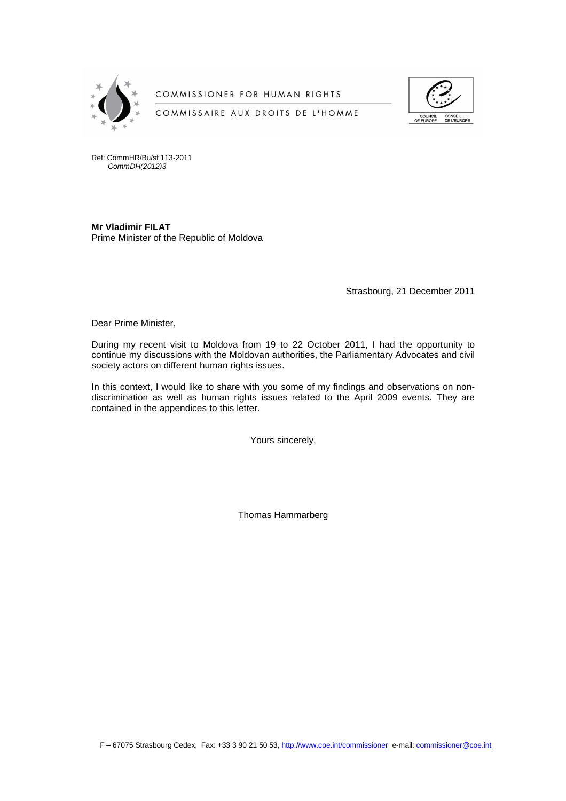

COMMISSIONER FOR HUMAN RIGHTS





Ref: CommHR/Bu/sf 113-2011 CommDH(2012)3

**Mr Vladimir FILAT**  Prime Minister of the Republic of Moldova

Strasbourg, 21 December 2011

Dear Prime Minister,

During my recent visit to Moldova from 19 to 22 October 2011, I had the opportunity to continue my discussions with the Moldovan authorities, the Parliamentary Advocates and civil society actors on different human rights issues.

In this context, I would like to share with you some of my findings and observations on nondiscrimination as well as human rights issues related to the April 2009 events. They are contained in the appendices to this letter.

Yours sincerely,

Thomas Hammarberg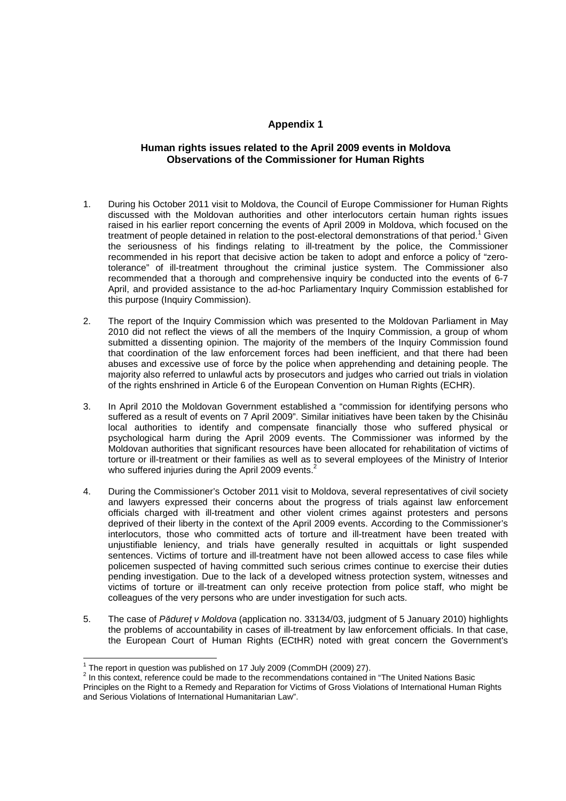# **Appendix 1**

### **Human rights issues related to the April 2009 events in Moldova Observations of the Commissioner for Human Rights**

- 1. During his October 2011 visit to Moldova, the Council of Europe Commissioner for Human Rights discussed with the Moldovan authorities and other interlocutors certain human rights issues raised in his earlier report concerning the events of April 2009 in Moldova, which focused on the treatment of people detained in relation to the post-electoral demonstrations of that period.<sup>1</sup> Given the seriousness of his findings relating to ill-treatment by the police, the Commissioner recommended in his report that decisive action be taken to adopt and enforce a policy of "zerotolerance" of ill-treatment throughout the criminal justice system. The Commissioner also recommended that a thorough and comprehensive inquiry be conducted into the events of 6-7 April, and provided assistance to the ad-hoc Parliamentary Inquiry Commission established for this purpose (Inquiry Commission).
- 2. The report of the Inquiry Commission which was presented to the Moldovan Parliament in May 2010 did not reflect the views of all the members of the Inquiry Commission, a group of whom submitted a dissenting opinion. The majority of the members of the Inquiry Commission found that coordination of the law enforcement forces had been inefficient, and that there had been abuses and excessive use of force by the police when apprehending and detaining people. The majority also referred to unlawful acts by prosecutors and judges who carried out trials in violation of the rights enshrined in Article 6 of the European Convention on Human Rights (ECHR).
- 3. In April 2010 the Moldovan Government established a "commission for identifying persons who suffered as a result of events on 7 April 2009". Similar initiatives have been taken by the Chisinău local authorities to identify and compensate financially those who suffered physical or psychological harm during the April 2009 events. The Commissioner was informed by the Moldovan authorities that significant resources have been allocated for rehabilitation of victims of torture or ill-treatment or their families as well as to several employees of the Ministry of Interior who suffered injuries during the April 2009 events.<sup>2</sup>
- 4. During the Commissioner's October 2011 visit to Moldova, several representatives of civil society and lawyers expressed their concerns about the progress of trials against law enforcement officials charged with ill-treatment and other violent crimes against protesters and persons deprived of their liberty in the context of the April 2009 events. According to the Commissioner's interlocutors, those who committed acts of torture and ill-treatment have been treated with unjustifiable leniency, and trials have generally resulted in acquittals or light suspended sentences. Victims of torture and ill-treatment have not been allowed access to case files while policemen suspected of having committed such serious crimes continue to exercise their duties pending investigation. Due to the lack of a developed witness protection system, witnesses and victims of torture or ill-treatment can only receive protection from police staff, who might be colleagues of the very persons who are under investigation for such acts.
- 5. The case of P*ă*dure*ţ* v Moldova (application no. 33134/03, judgment of 5 January 2010) highlights the problems of accountability in cases of ill-treatment by law enforcement officials. In that case, the European Court of Human Rights (ECtHR) noted with great concern the Government's

 $\overline{a}$ 

<sup>&</sup>lt;sup>1</sup> The report in question was published on 17 July 2009 (CommDH (2009) 27).

 $2$  In this context, reference could be made to the recommendations contained in "The United Nations Basic Principles on the Right to a Remedy and Reparation for Victims of Gross Violations of International Human Rights and Serious Violations of International Humanitarian Law".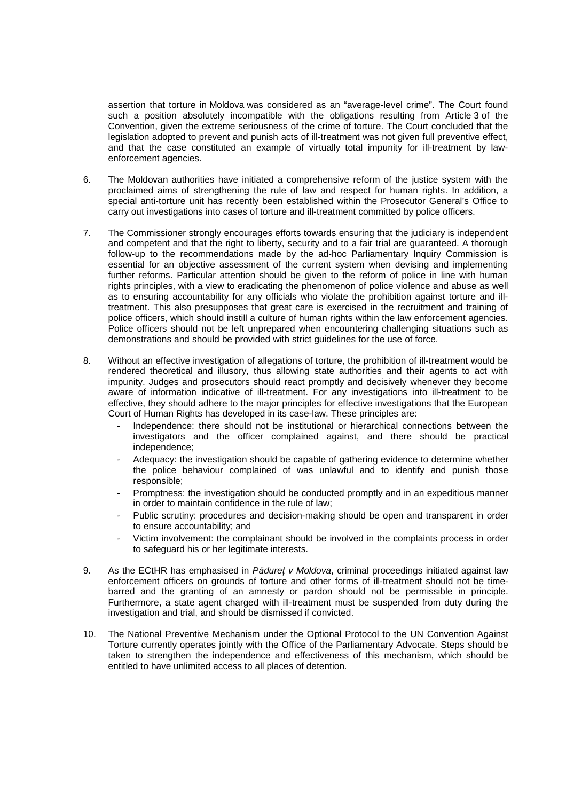assertion that torture in Moldova was considered as an "average-level crime". The Court found such a position absolutely incompatible with the obligations resulting from Article 3 of the Convention, given the extreme seriousness of the crime of torture. The Court concluded that the legislation adopted to prevent and punish acts of ill-treatment was not given full preventive effect, and that the case constituted an example of virtually total impunity for ill-treatment by lawenforcement agencies.

- 6. The Moldovan authorities have initiated a comprehensive reform of the justice system with the proclaimed aims of strengthening the rule of law and respect for human rights. In addition, a special anti-torture unit has recently been established within the Prosecutor General's Office to carry out investigations into cases of torture and ill-treatment committed by police officers.
- 7. The Commissioner strongly encourages efforts towards ensuring that the judiciary is independent and competent and that the right to liberty, security and to a fair trial are guaranteed. A thorough follow-up to the recommendations made by the ad-hoc Parliamentary Inquiry Commission is essential for an objective assessment of the current system when devising and implementing further reforms. Particular attention should be given to the reform of police in line with human rights principles, with a view to eradicating the phenomenon of police violence and abuse as well as to ensuring accountability for any officials who violate the prohibition against torture and illtreatment. This also presupposes that great care is exercised in the recruitment and training of police officers, which should instill a culture of human rights within the law enforcement agencies. Police officers should not be left unprepared when encountering challenging situations such as demonstrations and should be provided with strict guidelines for the use of force.
- 8. Without an effective investigation of allegations of torture, the prohibition of ill-treatment would be rendered theoretical and illusory, thus allowing state authorities and their agents to act with impunity. Judges and prosecutors should react promptly and decisively whenever they become aware of information indicative of ill-treatment. For any investigations into ill-treatment to be effective, they should adhere to the major principles for effective investigations that the European Court of Human Rights has developed in its case-law. These principles are:
	- Independence: there should not be institutional or hierarchical connections between the investigators and the officer complained against, and there should be practical independence;
	- Adequacy: the investigation should be capable of gathering evidence to determine whether the police behaviour complained of was unlawful and to identify and punish those responsible;
	- Promptness: the investigation should be conducted promptly and in an expeditious manner in order to maintain confidence in the rule of law;
	- Public scrutiny: procedures and decision-making should be open and transparent in order to ensure accountability; and
	- Victim involvement: the complainant should be involved in the complaints process in order to safeguard his or her legitimate interests.
- 9. As the ECtHR has emphasised in P*ă*dure*ţ* v Moldova, criminal proceedings initiated against law enforcement officers on grounds of torture and other forms of ill-treatment should not be timebarred and the granting of an amnesty or pardon should not be permissible in principle. Furthermore, a state agent charged with ill-treatment must be suspended from duty during the investigation and trial, and should be dismissed if convicted.
- 10. The National Preventive Mechanism under the Optional Protocol to the UN Convention Against Torture currently operates jointly with the Office of the Parliamentary Advocate. Steps should be taken to strengthen the independence and effectiveness of this mechanism, which should be entitled to have unlimited access to all places of detention.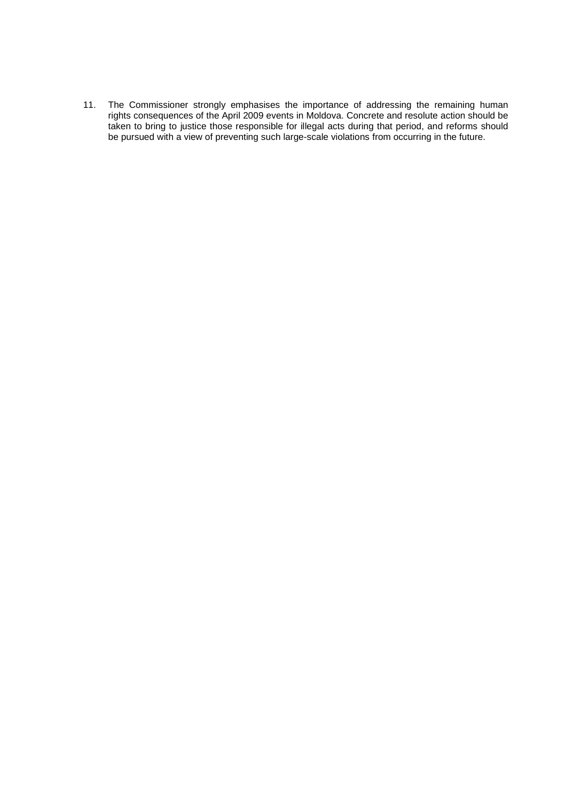11. The Commissioner strongly emphasises the importance of addressing the remaining human rights consequences of the April 2009 events in Moldova. Concrete and resolute action should be taken to bring to justice those responsible for illegal acts during that period, and reforms should be pursued with a view of preventing such large-scale violations from occurring in the future.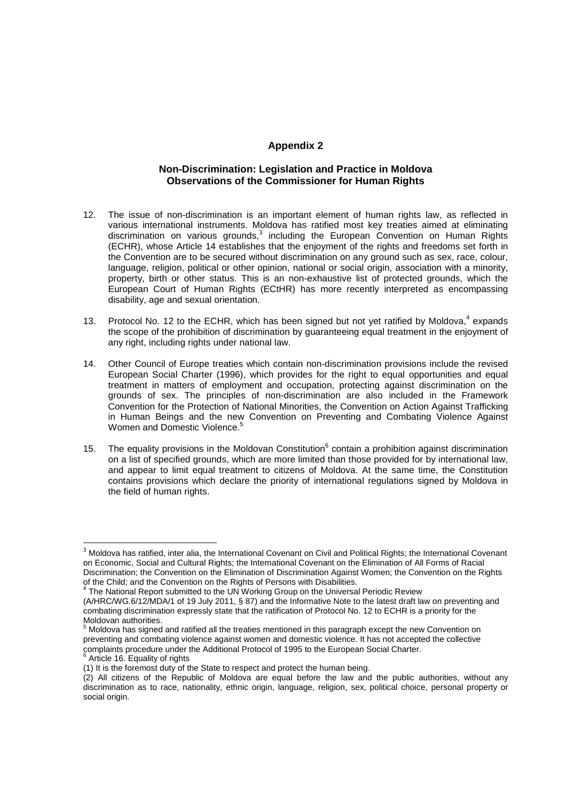# **Appendix 2**

## **Non-Discrimination: Legislation and Practice in Moldova Observations of the Commissioner for Human Rights**

- 12. The issue of non-discrimination is an important element of human rights law, as reflected in various international instruments. Moldova has ratified most key treaties aimed at eliminating discrimination on various grounds, $3$  including the European Convention on Human Rights (ECHR), whose Article 14 establishes that the enjoyment of the rights and freedoms set forth in the Convention are to be secured without discrimination on any ground such as sex, race, colour, language, religion, political or other opinion, national or social origin, association with a minority, property, birth or other status. This is an non-exhaustive list of protected grounds, which the European Court of Human Rights (ECtHR) has more recently interpreted as encompassing disability, age and sexual orientation.
- 13. Protocol No. 12 to the ECHR, which has been signed but not yet ratified by Moldova, $4$  expands the scope of the prohibition of discrimination by guaranteeing equal treatment in the enjoyment of any right, including rights under national law.
- 14. Other Council of Europe treaties which contain non-discrimination provisions include the revised European Social Charter (1996), which provides for the right to equal opportunities and equal treatment in matters of employment and occupation, protecting against discrimination on the grounds of sex. The principles of non-discrimination are also included in the Framework Convention for the Protection of National Minorities, the Convention on Action Against Trafficking in Human Beings and the new Convention on Preventing and Combating Violence Against Women and Domestic Violence.<sup>5</sup>
- 15. The equality provisions in the Moldovan Constitution $^6$  contain a prohibition against discrimination on a list of specified grounds, which are more limited than those provided for by international law, and appear to limit equal treatment to citizens of Moldova. At the same time, the Constitution contains provisions which declare the priority of international regulations signed by Moldova in the field of human rights.

 3 Moldova has ratified, inter alia, the International Covenant on Civil and Political Rights; the International Covenant on Economic, Social and Cultural Rights; the International Covenant on the Elimination of All Forms of Racial Discrimination; the Convention on the Elimination of Discrimination Against Women; the Convention on the Rights of the Child; and the Convention on the Rights of Persons with Disabilities.<br><sup>4</sup> The National Report submitted to the UN Working Group on the Universal Periodic Review

<sup>(</sup>A/HRC/WG.6/12/MDA/1 of 19 July 2011, § 87) and the Informative Note to the latest draft law on preventing and combating discrimination expressly state that the ratification of Protocol No. 12 to ECHR is a priority for the

Moldovan authorities.<br><sup>5</sup> Moldova has signed and ratified all the treaties mentioned in this paragraph except the new Convention on preventing and combating violence against women and domestic violence. It has not accepted the collective complaints procedure under the Additional Protocol of 1995 to the European Social Charter.

<sup>&</sup>lt;sup>6</sup> Article 16. Equality of rights

<sup>(1)</sup> It is the foremost duty of the State to respect and protect the human being.

<sup>(2)</sup> All citizens of the Republic of Moldova are equal before the law and the public authorities, without any discrimination as to race, nationality, ethnic origin, language, religion, sex, political choice, personal property or social origin.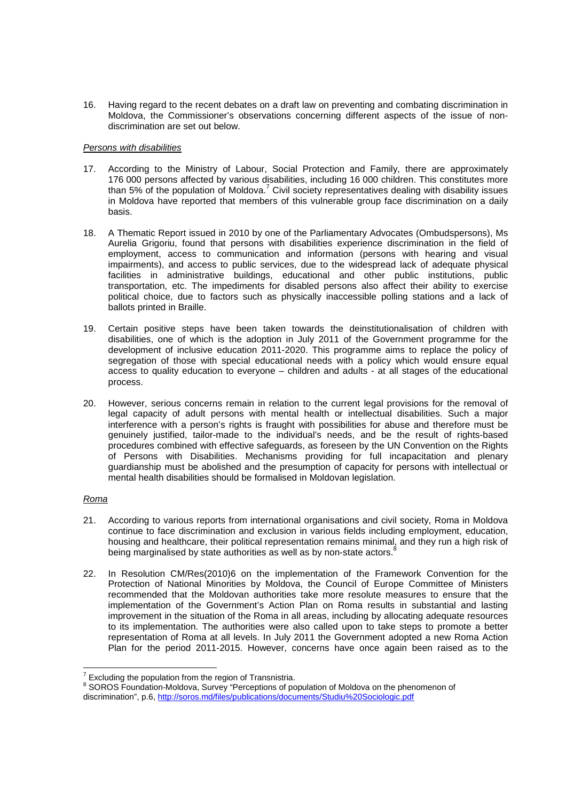16. Having regard to the recent debates on a draft law on preventing and combating discrimination in Moldova, the Commissioner's observations concerning different aspects of the issue of nondiscrimination are set out below.

#### Persons with disabilities

- 17. According to the Ministry of Labour, Social Protection and Family, there are approximately 176 000 persons affected by various disabilities, including 16 000 children. This constitutes more than 5% of the population of Moldova.<sup>7</sup> Civil society representatives dealing with disability issues in Moldova have reported that members of this vulnerable group face discrimination on a daily basis.
- 18. A Thematic Report issued in 2010 by one of the Parliamentary Advocates (Ombudspersons), Ms Aurelia Grigoriu, found that persons with disabilities experience discrimination in the field of employment, access to communication and information (persons with hearing and visual impairments), and access to public services, due to the widespread lack of adequate physical facilities in administrative buildings, educational and other public institutions, public transportation, etc. The impediments for disabled persons also affect their ability to exercise political choice, due to factors such as physically inaccessible polling stations and a lack of ballots printed in Braille.
- 19. Certain positive steps have been taken towards the deinstitutionalisation of children with disabilities, one of which is the adoption in July 2011 of the Government programme for the development of inclusive education 2011-2020. This programme aims to replace the policy of segregation of those with special educational needs with a policy which would ensure equal access to quality education to everyone – children and adults - at all stages of the educational process.
- 20. However, serious concerns remain in relation to the current legal provisions for the removal of legal capacity of adult persons with mental health or intellectual disabilities. Such a major interference with a person's rights is fraught with possibilities for abuse and therefore must be genuinely justified, tailor-made to the individual's needs, and be the result of rights-based procedures combined with effective safeguards, as foreseen by the UN Convention on the Rights of Persons with Disabilities. Mechanisms providing for full incapacitation and plenary guardianship must be abolished and the presumption of capacity for persons with intellectual or mental health disabilities should be formalised in Moldovan legislation.

### Roma

- 21. According to various reports from international organisations and civil society, Roma in Moldova continue to face discrimination and exclusion in various fields including employment, education, housing and healthcare, their political representation remains minimal, and they run a high risk of being marginalised by state authorities as well as by non-state actors.<sup>8</sup>
- 22. In Resolution CM/Res(2010)6 on the implementation of the Framework Convention for the Protection of National Minorities by Moldova, the Council of Europe Committee of Ministers recommended that the Moldovan authorities take more resolute measures to ensure that the implementation of the Government's Action Plan on Roma results in substantial and lasting improvement in the situation of the Roma in all areas, including by allocating adequate resources to its implementation. The authorities were also called upon to take steps to promote a better representation of Roma at all levels. In July 2011 the Government adopted a new Roma Action Plan for the period 2011-2015. However, concerns have once again been raised as to the

**Excluding the population from the region of Transnistria.**<br><sup>7</sup> Excluding the population from the region of Transnistria.

<sup>&</sup>lt;sup>8</sup> SOROS Foundation-Moldova, Survey "Perceptions of population of Moldova on the phenomenon of discrimination", p.6, http://soros.md/files/publications/documents/Studiu%20Sociologic.pdf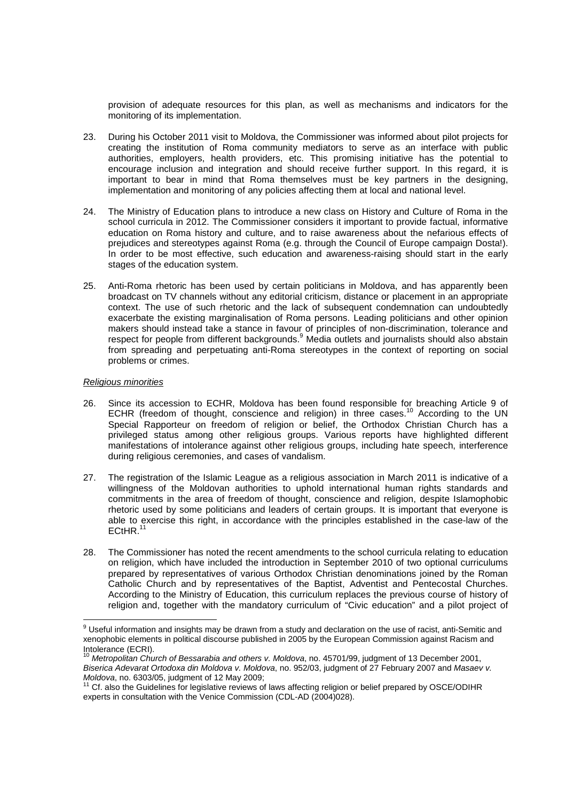provision of adequate resources for this plan, as well as mechanisms and indicators for the monitoring of its implementation.

- 23. During his October 2011 visit to Moldova, the Commissioner was informed about pilot projects for creating the institution of Roma community mediators to serve as an interface with public authorities, employers, health providers, etc. This promising initiative has the potential to encourage inclusion and integration and should receive further support. In this regard, it is important to bear in mind that Roma themselves must be key partners in the designing, implementation and monitoring of any policies affecting them at local and national level.
- 24. The Ministry of Education plans to introduce a new class on History and Culture of Roma in the school curricula in 2012. The Commissioner considers it important to provide factual, informative education on Roma history and culture, and to raise awareness about the nefarious effects of prejudices and stereotypes against Roma (e.g. through the Council of Europe campaign Dosta!). In order to be most effective, such education and awareness-raising should start in the early stages of the education system.
- 25. Anti-Roma rhetoric has been used by certain politicians in Moldova, and has apparently been broadcast on TV channels without any editorial criticism, distance or placement in an appropriate context. The use of such rhetoric and the lack of subsequent condemnation can undoubtedly exacerbate the existing marginalisation of Roma persons. Leading politicians and other opinion makers should instead take a stance in favour of principles of non-discrimination, tolerance and respect for people from different backgrounds.<sup>9</sup> Media outlets and journalists should also abstain from spreading and perpetuating anti-Roma stereotypes in the context of reporting on social problems or crimes.

#### Religious minorities

- 26. Since its accession to ECHR, Moldova has been found responsible for breaching Article 9 of ECHR (freedom of thought, conscience and religion) in three cases.<sup>10</sup> According to the UN Special Rapporteur on freedom of religion or belief, the Orthodox Christian Church has a privileged status among other religious groups. Various reports have highlighted different manifestations of intolerance against other religious groups, including hate speech, interference during religious ceremonies, and cases of vandalism.
- 27. The registration of the Islamic League as a religious association in March 2011 is indicative of a willingness of the Moldovan authorities to uphold international human rights standards and commitments in the area of freedom of thought, conscience and religion, despite Islamophobic rhetoric used by some politicians and leaders of certain groups. It is important that everyone is able to exercise this right, in accordance with the principles established in the case-law of the ECtHR.
- 28. The Commissioner has noted the recent amendments to the school curricula relating to education on religion, which have included the introduction in September 2010 of two optional curriculums prepared by representatives of various Orthodox Christian denominations joined by the Roman Catholic Church and by representatives of the Baptist, Adventist and Pentecostal Churches. According to the Ministry of Education, this curriculum replaces the previous course of history of religion and, together with the mandatory curriculum of "Civic education" and a pilot project of

<sup>&</sup>lt;u>edd</u><br><sup>9</sup> Useful information and insights may be drawn from a study and declaration on the use of racist, anti-Semitic and xenophobic elements in political discourse published in 2005 by the European Commission against Racism and Intolerance (ECRI).

<sup>10</sup> Metropolitan Church of Bessarabia and others v. Moldova, no. 45701/99, judgment of 13 December 2001, Biserica Adevarat Ortodoxa din Moldova v. Moldova, no. 952/03, judgment of 27 February 2007 and Masaev v. Moldova, no. 6303/05, judgment of 12 May 2009;

 $11$  Cf. also the Guidelines for legislative reviews of laws affecting religion or belief prepared by OSCE/ODIHR experts in consultation with the Venice Commission (CDL-AD (2004)028).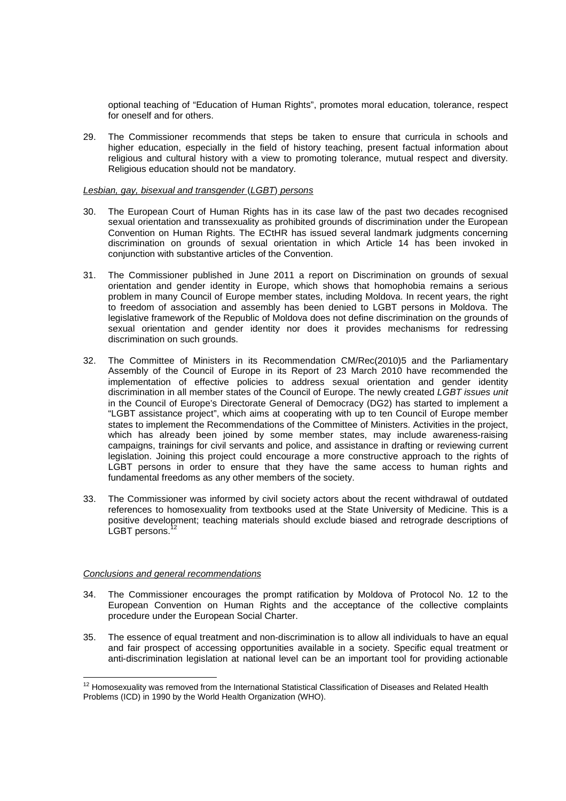optional teaching of "Education of Human Rights", promotes moral education, tolerance, respect for oneself and for others.

29. The Commissioner recommends that steps be taken to ensure that curricula in schools and higher education, especially in the field of history teaching, present factual information about religious and cultural history with a view to promoting tolerance, mutual respect and diversity. Religious education should not be mandatory.

#### Lesbian, gay, bisexual and transgender (LGBT) persons

- 30. The European Court of Human Rights has in its case law of the past two decades recognised sexual orientation and transsexuality as prohibited grounds of discrimination under the European Convention on Human Rights. The ECtHR has issued several landmark judgments concerning discrimination on grounds of sexual orientation in which Article 14 has been invoked in conjunction with substantive articles of the Convention.
- 31. The Commissioner published in June 2011 a report on Discrimination on grounds of sexual orientation and gender identity in Europe, which shows that homophobia remains a serious problem in many Council of Europe member states, including Moldova. In recent years, the right to freedom of association and assembly has been denied to LGBT persons in Moldova. The legislative framework of the Republic of Moldova does not define discrimination on the grounds of sexual orientation and gender identity nor does it provides mechanisms for redressing discrimination on such grounds.
- 32. The Committee of Ministers in its Recommendation CM/Rec(2010)5 and the Parliamentary Assembly of the Council of Europe in its Report of 23 March 2010 have recommended the implementation of effective policies to address sexual orientation and gender identity discrimination in all member states of the Council of Europe. The newly created LGBT issues unit in the Council of Europe's Directorate General of Democracy (DG2) has started to implement a "LGBT assistance project", which aims at cooperating with up to ten Council of Europe member states to implement the Recommendations of the Committee of Ministers. Activities in the project, which has already been joined by some member states, may include awareness-raising campaigns, trainings for civil servants and police, and assistance in drafting or reviewing current legislation. Joining this project could encourage a more constructive approach to the rights of LGBT persons in order to ensure that they have the same access to human rights and fundamental freedoms as any other members of the society.
- 33. The Commissioner was informed by civil society actors about the recent withdrawal of outdated references to homosexuality from textbooks used at the State University of Medicine. This is a positive development; teaching materials should exclude biased and retrograde descriptions of LGBT persons.<sup>1</sup>

### Conclusions and general recommendations

- 34. The Commissioner encourages the prompt ratification by Moldova of Protocol No. 12 to the European Convention on Human Rights and the acceptance of the collective complaints procedure under the European Social Charter.
- 35. The essence of equal treatment and non-discrimination is to allow all individuals to have an equal and fair prospect of accessing opportunities available in a society. Specific equal treatment or anti-discrimination legislation at national level can be an important tool for providing actionable

 $\overline{a}$ <sup>12</sup> Homosexuality was removed from the International Statistical Classification of Diseases and Related Health Problems (ICD) in 1990 by the World Health Organization (WHO).